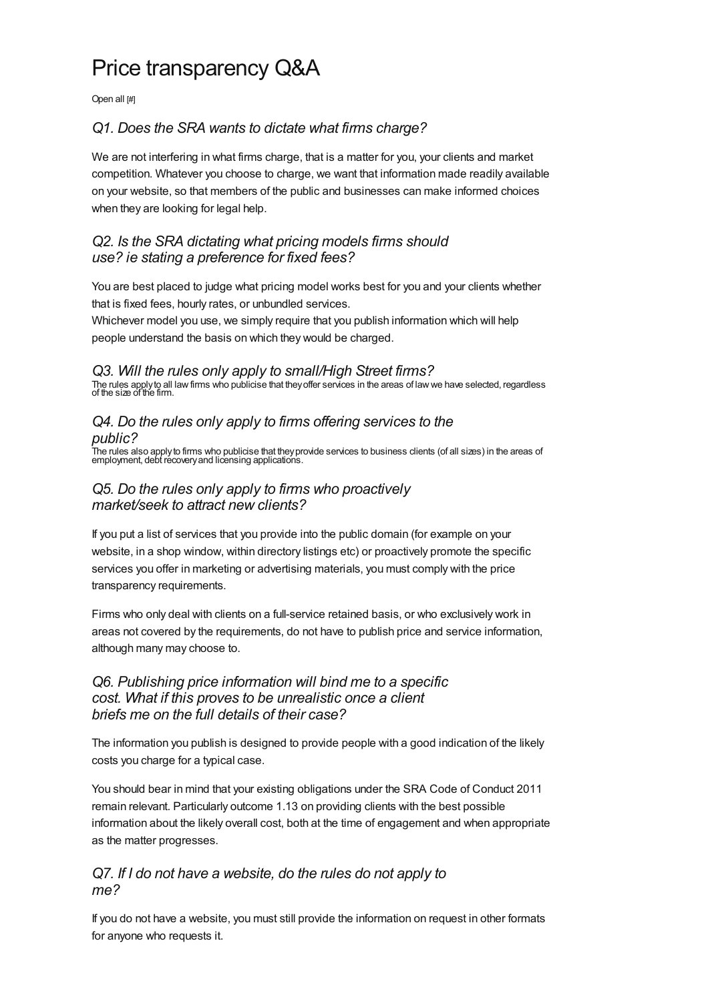# Price transparency Q&A

Open all [#]

# *Q1. Does the SRA wants to dictate what firms [charge?](#page-0-0)*

<span id="page-0-0"></span>We are not interfering in what firms charge, that is a matter for you, your clients and market competition. Whatever you choose to charge, we want that information made readily available on your website, so that members of the public and businesses can make informed choices when they are looking for legal help.

# *Q2. Is the SRA dictating what pricing models firms should use? ie stating a [preference](#page-0-1) for fixed fees?*

<span id="page-0-1"></span>You are best placed to judge what pricing model works best for you and your clients whether that is fixed fees, hourly rates, or unbundled services.

Whichever model you use, we simply require that you publish information which will help people understand the basis on which they would be charged.

#### *Q3. Will the rules only apply to [small/High](#page-0-2) Street firms?*

<span id="page-0-2"></span>The rules applyto all lawfirms who publicise that theyoffer services in the areas of lawwe have selected, regardless of the size of the firm.

#### *Q4. Do the rules only apply to firms offering [services](#page-0-3) to the public?*

<span id="page-0-3"></span>.<br>The rules also apply to firms who publicise that they provide services to business clients (of all sizes) in the areas of<br>employment, debt recovery and licensing applications.

# *Q5. Do the rules only apply to firms who proactively [market/seek](#page-0-4) to attract new clients?*

<span id="page-0-4"></span>If you put a list of services that you provide into the public domain (for example on your website, in a shop window, within directory listings etc) or proactively promote the specific services you offer in marketing or advertising materials, you must comply with the price transparency requirements.

Firms who only deal with clients on a full-service retained basis, or who exclusively work in areas not covered by the requirements, do not have to publish price and service information, although many may choose to.

# *Q6. Publishing price [information](#page-0-5) will bind me to a specific cost. What if this proves to be unrealistic once a client briefs me on the full details of their case?*

<span id="page-0-5"></span>The information you publish is designed to provide people with a good indication of the likely costs you charge for a typical case.

You should bear in mind that your existing obligations under the SRA Code of Conduct 2011 remain relevant. Particularly outcome 1.13 on providing clients with the best possible information about the likely overall cost, both at the time of engagement and when appropriate as the matter progresses.

# *Q7. If I do not have a [website,](#page-0-6) do the rules do not apply to me?*

<span id="page-0-6"></span>If you do not have a website, you must still provide the information on request in other formats for anyone who requests it.